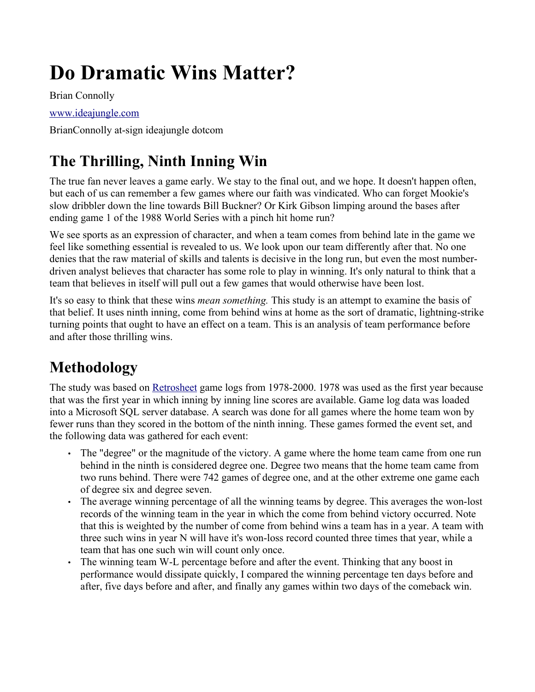# **Do Dramatic Wins Matter?**

Brian Connolly

#### [www.ideajungle.com](http://www.ideajungle.com/)

BrianConnolly at-sign ideajungle dotcom

# **The Thrilling, Ninth Inning Win**

The true fan never leaves a game early. We stay to the final out, and we hope. It doesn't happen often, but each of us can remember a few games where our faith was vindicated. Who can forget Mookie's slow dribbler down the line towards Bill Buckner? Or Kirk Gibson limping around the bases after ending game 1 of the 1988 World Series with a pinch hit home run?

We see sports as an expression of character, and when a team comes from behind late in the game we feel like something essential is revealed to us. We look upon our team differently after that. No one denies that the raw material of skills and talents is decisive in the long run, but even the most numberdriven analyst believes that character has some role to play in winning. It's only natural to think that a team that believes in itself will pull out a few games that would otherwise have been lost.

It's so easy to think that these wins *mean something.* This study is an attempt to examine the basis of that belief. It uses ninth inning, come from behind wins at home as the sort of dramatic, lightning-strike turning points that ought to have an effect on a team. This is an analysis of team performance before and after those thrilling wins.

## **Methodology**

The study was based on [Retrosheet](http://www.retrosheet.org/) game logs from 1978-2000. 1978 was used as the first year because that was the first year in which inning by inning line scores are available. Game log data was loaded into a Microsoft SQL server database. A search was done for all games where the home team won by fewer runs than they scored in the bottom of the ninth inning. These games formed the event set, and the following data was gathered for each event:

- The "degree" or the magnitude of the victory. A game where the home team came from one run behind in the ninth is considered degree one. Degree two means that the home team came from two runs behind. There were 742 games of degree one, and at the other extreme one game each of degree six and degree seven.
- The average winning percentage of all the winning teams by degree. This averages the won-lost records of the winning team in the year in which the come from behind victory occurred. Note that this is weighted by the number of come from behind wins a team has in a year. A team with three such wins in year N will have it's won-loss record counted three times that year, while a team that has one such win will count only once.
- The winning team W-L percentage before and after the event. Thinking that any boost in performance would dissipate quickly, I compared the winning percentage ten days before and after, five days before and after, and finally any games within two days of the comeback win.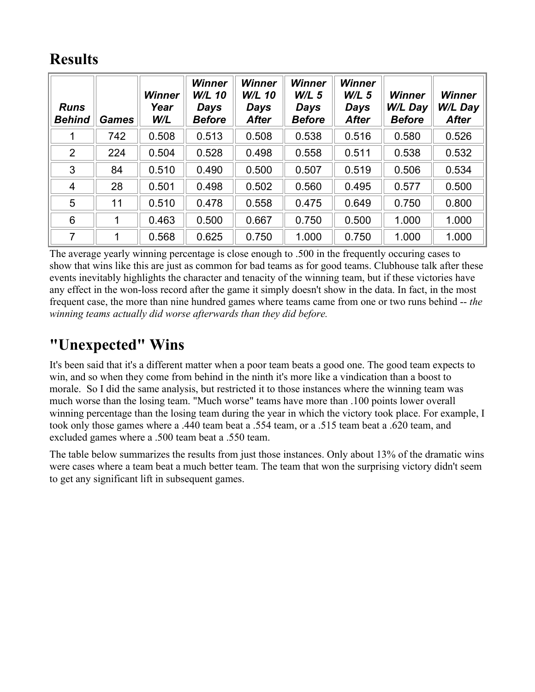#### **Results**

| <b>Runs</b><br><b>Behind</b> | <b>Games</b> | <b>Winner</b><br>Year<br>W/L | <b>Winner</b><br><b>W/L 10</b><br><b>Days</b><br><b>Before</b> | <b>Winner</b><br><b>W/L 10</b><br><b>Days</b><br><b>After</b> | <b>Winner</b><br>$W/L$ 5<br><b>Days</b><br><b>Before</b> | <b>Winner</b><br>$W/L$ 5<br>Days<br><b>After</b> | <b>Winner</b><br>W/L Day<br><b>Before</b> | <b>Winner</b><br>W/L Day<br><b>After</b> |
|------------------------------|--------------|------------------------------|----------------------------------------------------------------|---------------------------------------------------------------|----------------------------------------------------------|--------------------------------------------------|-------------------------------------------|------------------------------------------|
|                              | 742          | 0.508                        | 0.513                                                          | 0.508                                                         | 0.538                                                    | 0.516                                            | 0.580                                     | 0.526                                    |
| $\overline{2}$               | 224          | 0.504                        | 0.528                                                          | 0.498                                                         | 0.558                                                    | 0.511                                            | 0.538                                     | 0.532                                    |
| 3                            | 84           | 0.510                        | 0.490                                                          | 0.500                                                         | 0.507                                                    | 0.519                                            | 0.506                                     | 0.534                                    |
| $\overline{4}$               | 28           | 0.501                        | 0.498                                                          | 0.502                                                         | 0.560                                                    | 0.495                                            | 0.577                                     | 0.500                                    |
| 5                            | 11           | 0.510                        | 0.478                                                          | 0.558                                                         | 0.475                                                    | 0.649                                            | 0.750                                     | 0.800                                    |
| 6                            | 1            | 0.463                        | 0.500                                                          | 0.667                                                         | 0.750                                                    | 0.500                                            | 1.000                                     | 1.000                                    |
| 7                            | 1            | 0.568                        | 0.625                                                          | 0.750                                                         | 1.000                                                    | 0.750                                            | 1.000                                     | 1.000                                    |

The average yearly winning percentage is close enough to .500 in the frequently occuring cases to show that wins like this are just as common for bad teams as for good teams. Clubhouse talk after these events inevitably highlights the character and tenacity of the winning team, but if these victories have any effect in the won-loss record after the game it simply doesn't show in the data. In fact, in the most frequent case, the more than nine hundred games where teams came from one or two runs behind -- *the winning teams actually did worse afterwards than they did before.*

### **"Unexpected" Wins**

It's been said that it's a different matter when a poor team beats a good one. The good team expects to win, and so when they come from behind in the ninth it's more like a vindication than a boost to morale. So I did the same analysis, but restricted it to those instances where the winning team was much worse than the losing team. "Much worse" teams have more than .100 points lower overall winning percentage than the losing team during the year in which the victory took place. For example, I took only those games where a .440 team beat a .554 team, or a .515 team beat a .620 team, and excluded games where a .500 team beat a .550 team.

The table below summarizes the results from just those instances. Only about 13% of the dramatic wins were cases where a team beat a much better team. The team that won the surprising victory didn't seem to get any significant lift in subsequent games.